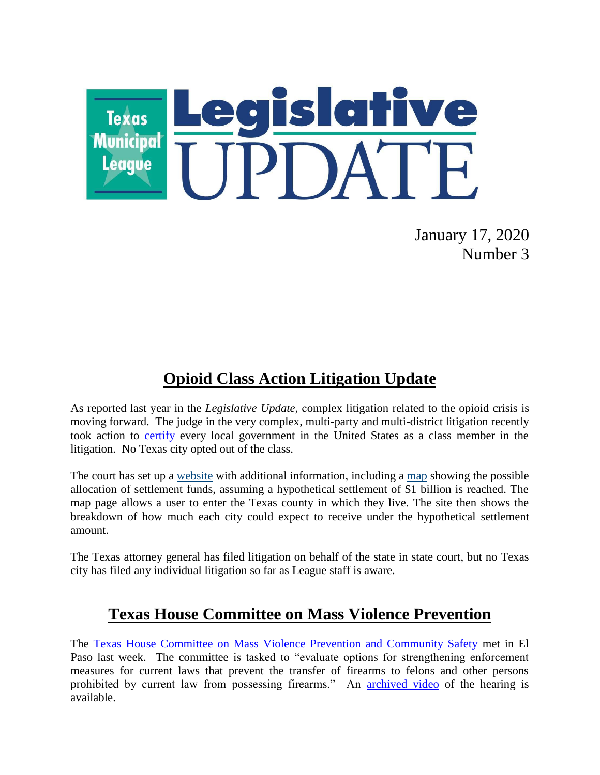

January 17, 2020 Number 3

## **Opioid Class Action Litigation Update**

As reported last year in the *Legislative Update*, complex litigation related to the opioid crisis is moving forward. The judge in the very complex, multi-party and multi-district litigation recently took action to [certify](https://www.opioidsnegotiationclass.info/Content/Documents/Corrected%20%5bProposed%5d%20Class%20Membership%20Order.pdf) every local government in the United States as a class member in the litigation. No Texas city opted out of the class.

The court has set up a [website](https://www.opioidsnegotiationclass.info/) with additional information, including a [map](https://allocationmap.iclaimsonline.com/) showing the possible allocation of settlement funds, assuming a hypothetical settlement of \$1 billion is reached. The map page allows a user to enter the Texas county in which they live. The site then shows the breakdown of how much each city could expect to receive under the hypothetical settlement amount.

The Texas attorney general has filed litigation on behalf of the state in state court, but no Texas city has filed any individual litigation so far as League staff is aware.

## **Texas House Committee on Mass Violence Prevention**

The [Texas House Committee on Mass Violence Prevention and Community Safety](https://house.texas.gov/committees/committee/?committee=C385) met in El Paso last week. The committee is tasked to "evaluate options for strengthening enforcement measures for current laws that prevent the transfer of firearms to felons and other persons prohibited by current law from possessing firearms." An [archived video](https://tlchouse.granicus.com/MediaPlayer.php?view_id=44&clip_id=18350) of the hearing is available.